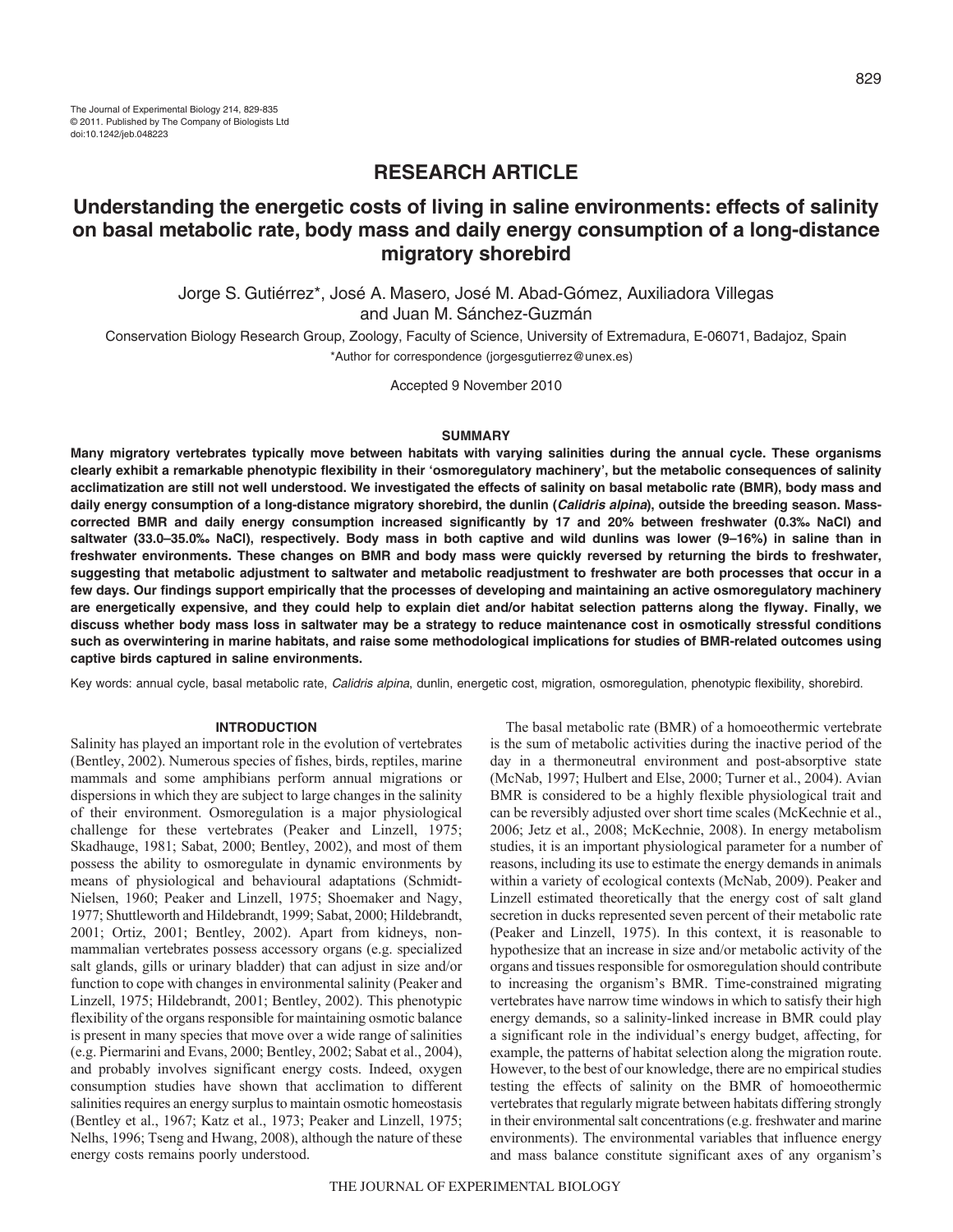# **Understanding the energetic costs of living in saline environments: effects of salinity on basal metabolic rate, body mass and daily energy consumption of a long-distance migratory shorebird**

Jorge S. Gutiérrez\*, José A. Masero, José M. Abad-Gómez, Auxiliadora Villegas and Juan M. Sánchez-Guzmán

Conservation Biology Research Group, Zoology, Faculty of Science, University of Extremadura, E-06071, Badajoz, Spain \*Author for correspondence (jorgesgutierrez@unex.es)

Accepted 9 November 2010

## **SUMMARY**

**Many migratory vertebrates typically move between habitats with varying salinities during the annual cycle. These organisms clearly exhibit a remarkable phenotypic flexibility in their 'osmoregulatory machinery', but the metabolic consequences of salinity acclimatization are still not well understood. We investigated the effects of salinity on basal metabolic rate (BMR), body mass and daily energy consumption of a long-distance migratory shorebird, the dunlin (Calidris alpina), outside the breeding season. Masscorrected BMR and daily energy consumption increased significantly by 17 and 20% between freshwater (0.3‰ NaCl) and saltwater (33.0–35.0‰ NaCl), respectively. Body mass in both captive and wild dunlins was lower (9–16%) in saline than in freshwater environments. These changes on BMR and body mass were quickly reversed by returning the birds to freshwater, suggesting that metabolic adjustment to saltwater and metabolic readjustment to freshwater are both processes that occur in a few days. Our findings support empirically that the processes of developing and maintaining an active osmoregulatory machinery are energetically expensive, and they could help to explain diet and/or habitat selection patterns along the flyway. Finally, we discuss whether body mass loss in saltwater may be a strategy to reduce maintenance cost in osmotically stressful conditions such as overwintering in marine habitats, and raise some methodological implications for studies of BMR-related outcomes using captive birds captured in saline environments.**

Key words: annual cycle, basal metabolic rate, Calidris alpina, dunlin, energetic cost, migration, osmoregulation, phenotypic flexibility, shorebird.

# **INTRODUCTION**

Salinity has played an important role in the evolution of vertebrates (Bentley, 2002). Numerous species of fishes, birds, reptiles, marine mammals and some amphibians perform annual migrations or dispersions in which they are subject to large changes in the salinity of their environment. Osmoregulation is a major physiological challenge for these vertebrates (Peaker and Linzell, 1975; Skadhauge, 1981; Sabat, 2000; Bentley, 2002), and most of them possess the ability to osmoregulate in dynamic environments by means of physiological and behavioural adaptations (Schmidt-Nielsen, 1960; Peaker and Linzell, 1975; Shoemaker and Nagy, 1977; Shuttleworth and Hildebrandt, 1999; Sabat, 2000; Hildebrandt, 2001; Ortiz, 2001; Bentley, 2002). Apart from kidneys, nonmammalian vertebrates possess accessory organs (e.g. specialized salt glands, gills or urinary bladder) that can adjust in size and/or function to cope with changes in environmental salinity (Peaker and Linzell, 1975; Hildebrandt, 2001; Bentley, 2002). This phenotypic flexibility of the organs responsible for maintaining osmotic balance is present in many species that move over a wide range of salinities (e.g. Piermarini and Evans, 2000; Bentley, 2002; Sabat et al., 2004), and probably involves significant energy costs. Indeed, oxygen consumption studies have shown that acclimation to different salinities requires an energy surplus to maintain osmotic homeostasis (Bentley et al., 1967; Katz et al., 1973; Peaker and Linzell, 1975; Nelhs, 1996; Tseng and Hwang, 2008), although the nature of these energy costs remains poorly understood.

The basal metabolic rate (BMR) of a homoeothermic vertebrate is the sum of metabolic activities during the inactive period of the day in a thermoneutral environment and post-absorptive state (McNab, 1997; Hulbert and Else, 2000; Turner et al., 2004). Avian BMR is considered to be a highly flexible physiological trait and can be reversibly adjusted over short time scales (McKechnie et al., 2006; Jetz et al., 2008; McKechnie, 2008). In energy metabolism studies, it is an important physiological parameter for a number of reasons, including its use to estimate the energy demands in animals within a variety of ecological contexts (McNab, 2009). Peaker and Linzell estimated theoretically that the energy cost of salt gland secretion in ducks represented seven percent of their metabolic rate (Peaker and Linzell, 1975). In this context, it is reasonable to hypothesize that an increase in size and/or metabolic activity of the organs and tissues responsible for osmoregulation should contribute to increasing the organism's BMR. Time-constrained migrating vertebrates have narrow time windows in which to satisfy their high energy demands, so a salinity-linked increase in BMR could play a significant role in the individual's energy budget, affecting, for example, the patterns of habitat selection along the migration route. However, to the best of our knowledge, there are no empirical studies testing the effects of salinity on the BMR of homoeothermic vertebrates that regularly migrate between habitats differing strongly in their environmental salt concentrations (e.g. freshwater and marine environments). The environmental variables that influence energy and mass balance constitute significant axes of any organism's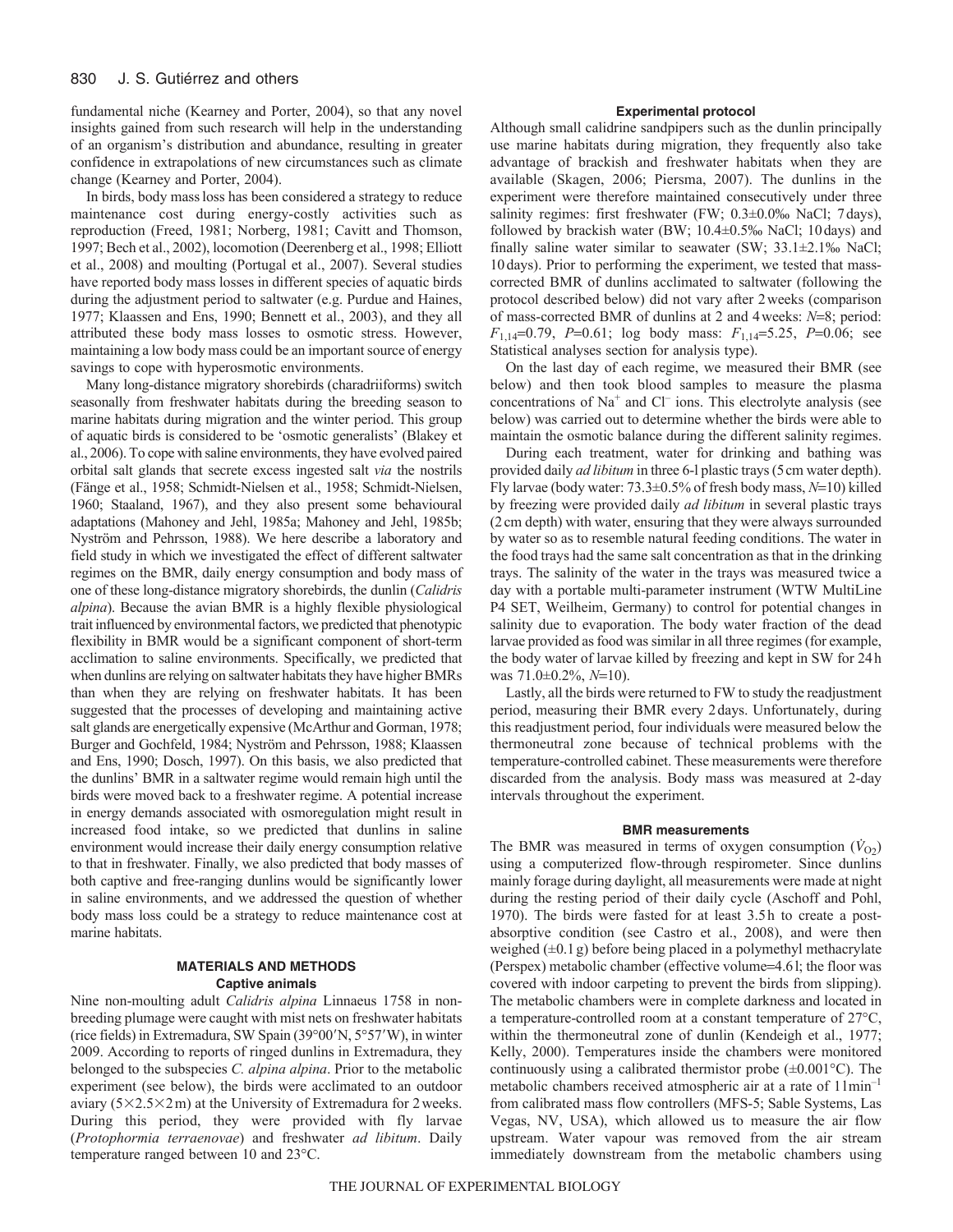fundamental niche (Kearney and Porter, 2004), so that any novel insights gained from such research will help in the understanding of an organism's distribution and abundance, resulting in greater confidence in extrapolations of new circumstances such as climate change (Kearney and Porter, 2004).

In birds, body mass loss has been considered a strategy to reduce maintenance cost during energy-costly activities such as reproduction (Freed, 1981; Norberg, 1981; Cavitt and Thomson, 1997; Bech et al., 2002), locomotion (Deerenberg et al., 1998; Elliott et al., 2008) and moulting (Portugal et al., 2007). Several studies have reported body mass losses in different species of aquatic birds during the adjustment period to saltwater (e.g. Purdue and Haines, 1977; Klaassen and Ens, 1990; Bennett et al., 2003), and they all attributed these body mass losses to osmotic stress. However, maintaining a low body mass could be an important source of energy savings to cope with hyperosmotic environments.

Many long-distance migratory shorebirds (charadriiforms) switch seasonally from freshwater habitats during the breeding season to marine habitats during migration and the winter period. This group of aquatic birds is considered to be 'osmotic generalists' (Blakey et al., 2006). To cope with saline environments, they have evolved paired orbital salt glands that secrete excess ingested salt *via* the nostrils (Fänge et al., 1958; Schmidt-Nielsen et al., 1958; Schmidt-Nielsen, 1960; Staaland, 1967), and they also present some behavioural adaptations (Mahoney and Jehl, 1985a; Mahoney and Jehl, 1985b; Nyström and Pehrsson, 1988). We here describe a laboratory and field study in which we investigated the effect of different saltwater regimes on the BMR, daily energy consumption and body mass of one of these long-distance migratory shorebirds, the dunlin (*Calidris alpina*). Because the avian BMR is a highly flexible physiological trait influenced by environmental factors, we predicted that phenotypic flexibility in BMR would be a significant component of short-term acclimation to saline environments. Specifically, we predicted that when dunlins are relying on saltwater habitats they have higher BMRs than when they are relying on freshwater habitats. It has been suggested that the processes of developing and maintaining active salt glands are energetically expensive (McArthur and Gorman, 1978; Burger and Gochfeld, 1984; Nyström and Pehrsson, 1988; Klaassen and Ens, 1990; Dosch, 1997). On this basis, we also predicted that the dunlins' BMR in a saltwater regime would remain high until the birds were moved back to a freshwater regime. A potential increase in energy demands associated with osmoregulation might result in increased food intake, so we predicted that dunlins in saline environment would increase their daily energy consumption relative to that in freshwater. Finally, we also predicted that body masses of both captive and free-ranging dunlins would be significantly lower in saline environments, and we addressed the question of whether body mass loss could be a strategy to reduce maintenance cost at marine habitats.

# **MATERIALS AND METHODS Captive animals**

Nine non-moulting adult *Calidris alpina* Linnaeus 1758 in nonbreeding plumage were caught with mist nets on freshwater habitats (rice fields) in Extremadura, SW Spain (39°00'N, 5°57'W), in winter 2009. According to reports of ringed dunlins in Extremadura, they belonged to the subspecies *C. alpina alpina*. Prior to the metabolic experiment (see below), the birds were acclimated to an outdoor aviary  $(5 \times 2.5 \times 2 \text{ m})$  at the University of Extremadura for 2 weeks. During this period, they were provided with fly larvae (*Protophormia terraenovae*) and freshwater *ad libitum*. Daily temperature ranged between 10 and 23°C.

# **Experimental protocol**

Although small calidrine sandpipers such as the dunlin principally use marine habitats during migration, they frequently also take advantage of brackish and freshwater habitats when they are available (Skagen, 2006; Piersma, 2007). The dunlins in the experiment were therefore maintained consecutively under three salinity regimes: first freshwater (FW;  $0.3\pm0.0\%$  NaCl; 7 days), followed by brackish water (BW; 10.4±0.5‰ NaCl; 10days) and finally saline water similar to seawater (SW; 33.1±2.1‰ NaCl; 10days). Prior to performing the experiment, we tested that masscorrected BMR of dunlins acclimated to saltwater (following the protocol described below) did not vary after 2weeks (comparison of mass-corrected BMR of dunlins at 2 and 4 weeks: *N*=8; period: *F*<sub>1,14</sub>=0.79, *P*=0.61; log body mass: *F*<sub>1,14</sub>=5.25, *P*=0.06; see Statistical analyses section for analysis type).

On the last day of each regime, we measured their BMR (see below) and then took blood samples to measure the plasma concentrations of  $Na<sup>+</sup>$  and  $Cl<sup>-</sup>$  ions. This electrolyte analysis (see below) was carried out to determine whether the birds were able to maintain the osmotic balance during the different salinity regimes.

During each treatment, water for drinking and bathing was provided daily *ad libitum* in three 6-l plastic trays (5cm water depth). Fly larvae (body water:  $73.3\pm0.5\%$  of fresh body mass,  $N=10$ ) killed by freezing were provided daily *ad libitum* in several plastic trays (2cm depth) with water, ensuring that they were always surrounded by water so as to resemble natural feeding conditions. The water in the food trays had the same salt concentration as that in the drinking trays. The salinity of the water in the trays was measured twice a day with a portable multi-parameter instrument (WTW MultiLine P4 SET, Weilheim, Germany) to control for potential changes in salinity due to evaporation. The body water fraction of the dead larvae provided as food was similar in all three regimes (for example, the body water of larvae killed by freezing and kept in SW for 24h was 71.0±0.2%, N=10).

Lastly, all the birds were returned to FW to study the readjustment period, measuring their BMR every 2days. Unfortunately, during this readjustment period, four individuals were measured below the thermoneutral zone because of technical problems with the temperature-controlled cabinet. These measurements were therefore discarded from the analysis. Body mass was measured at 2-day intervals throughout the experiment.

#### **BMR measurements**

The BMR was measured in terms of oxygen consumption  $(\dot{V}_{O2})$ using a computerized flow-through respirometer. Since dunlins mainly forage during daylight, all measurements were made at night during the resting period of their daily cycle (Aschoff and Pohl, 1970). The birds were fasted for at least 3.5h to create a postabsorptive condition (see Castro et al., 2008), and were then weighed (±0.1g) before being placed in a polymethyl methacrylate (Perspex) metabolic chamber (effective volume=4.61; the floor was covered with indoor carpeting to prevent the birds from slipping). The metabolic chambers were in complete darkness and located in a temperature-controlled room at a constant temperature of 27°C, within the thermoneutral zone of dunlin (Kendeigh et al., 1977; Kelly, 2000). Temperatures inside the chambers were monitored continuously using a calibrated thermistor probe  $(\pm 0.001^{\circ}C)$ . The metabolic chambers received atmospheric air at a rate of  $11$ min<sup>-1</sup> from calibrated mass flow controllers (MFS-5; Sable Systems, Las Vegas, NV, USA), which allowed us to measure the air flow upstream. Water vapour was removed from the air stream immediately downstream from the metabolic chambers using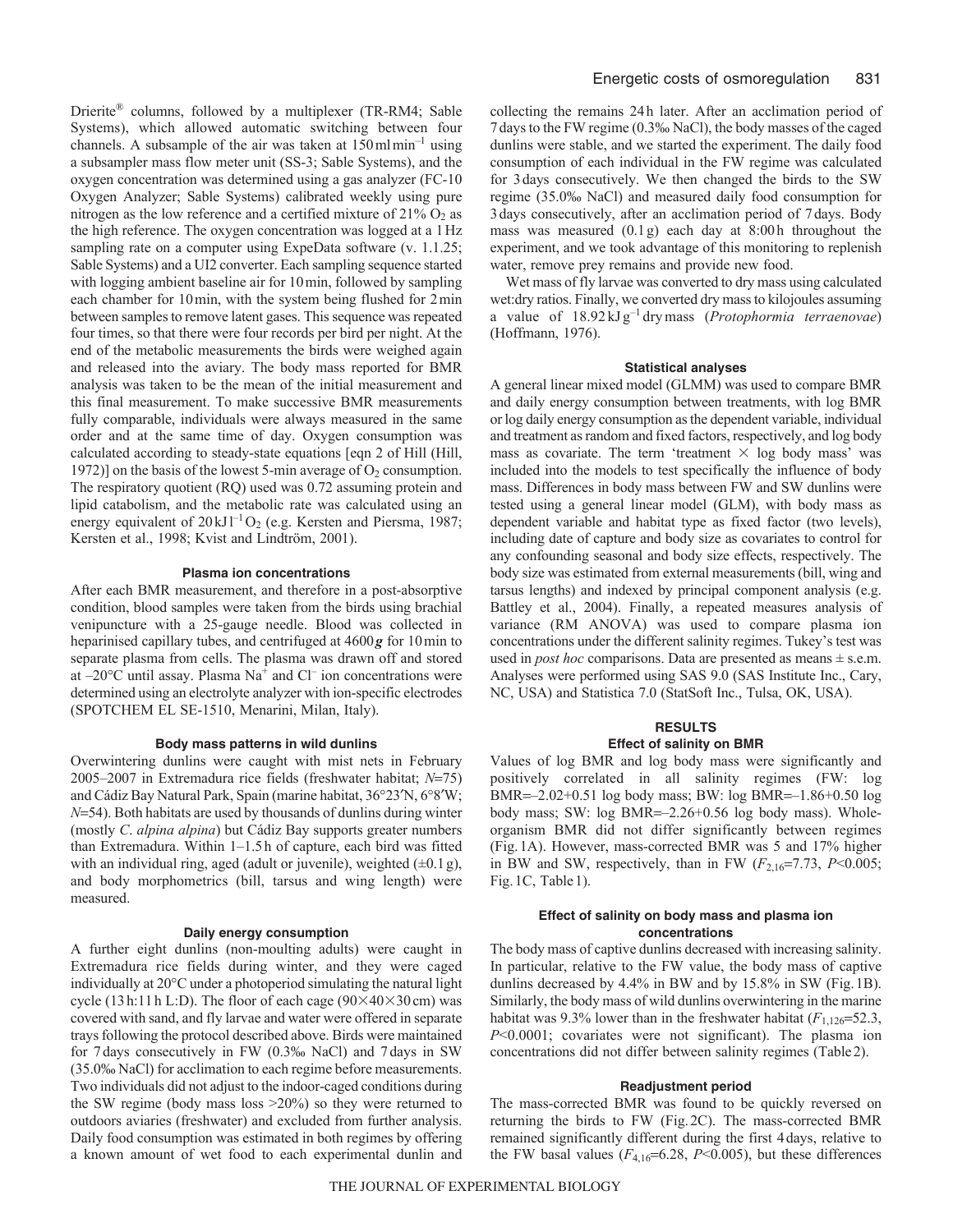Drierite® columns, followed by a multiplexer (TR-RM4; Sable Systems), which allowed automatic switching between four channels. A subsample of the air was taken at  $150 \text{ m}$ lmin<sup>-1</sup> using a subsampler mass flow meter unit (SS-3; Sable Systems), and the oxygen concentration was determined using a gas analyzer (FC-10 Oxygen Analyzer; Sable Systems) calibrated weekly using pure nitrogen as the low reference and a certified mixture of  $21\%$  O<sub>2</sub> as the high reference. The oxygen concentration was logged at a 1Hz sampling rate on a computer using ExpeData software (v. 1.1.25; Sable Systems) and a UI2 converter. Each sampling sequence started with logging ambient baseline air for 10 min, followed by sampling each chamber for 10min, with the system being flushed for 2min between samples to remove latent gases. This sequence was repeated four times, so that there were four records per bird per night. At the end of the metabolic measurements the birds were weighed again and released into the aviary. The body mass reported for BMR analysis was taken to be the mean of the initial measurement and this final measurement. To make successive BMR measurements fully comparable, individuals were always measured in the same order and at the same time of day. Oxygen consumption was calculated according to steady-state equations [eqn 2 of Hill (Hill, 1972)] on the basis of the lowest 5-min average of  $O_2$  consumption. The respiratory quotient (RQ) used was 0.72 assuming protein and lipid catabolism, and the metabolic rate was calculated using an energy equivalent of  $20 \text{ kJ}$ <sup>1-1</sup> O<sub>2</sub> (e.g. Kersten and Piersma, 1987; Kersten et al., 1998; Kvist and Lindtröm, 2001).

#### **Plasma ion concentrations**

After each BMR measurement, and therefore in a post-absorptive condition, blood samples were taken from the birds using brachial venipuncture with a 25-gauge needle. Blood was collected in heparinised capillary tubes, and centrifuged at 4600*g* for 10min to separate plasma from cells. The plasma was drawn off and stored at  $-20^{\circ}$ C until assay. Plasma Na<sup>+</sup> and Cl<sup>-</sup> ion concentrations were determined using an electrolyte analyzer with ion-specific electrodes (SPOTCHEM EL SE-1510, Menarini, Milan, Italy).

# **Body mass patterns in wild dunlins**

Overwintering dunlins were caught with mist nets in February 2005–2007 in Extremadura rice fields (freshwater habitat;  $N=75$ ) and Cádiz Bay Natural Park, Spain (marine habitat, 36°23'N, 6°8'W; *N*=54). Both habitats are used by thousands of dunlins during winter (mostly *C*. *alpina alpina*) but Cádiz Bay supports greater numbers than Extremadura. Within 1–1.5h of capture, each bird was fitted with an individual ring, aged (adult or juvenile), weighted  $(\pm 0.1 \text{ g})$ , and body morphometrics (bill, tarsus and wing length) were measured.

## **Daily energy consumption**

A further eight dunlins (non-moulting adults) were caught in Extremadura rice fields during winter, and they were caged individually at 20°C under a photoperiod simulating the natural light cycle (13h:11h L:D). The floor of each cage ( $90\times40\times30$  cm) was covered with sand, and fly larvae and water were offered in separate trays following the protocol described above. Birds were maintained for 7days consecutively in FW (0.3‰ NaCl) and 7days in SW (35.0‰ NaCl) for acclimation to each regime before measurements. Two individuals did not adjust to the indoor-caged conditions during the SW regime (body mass loss >20%) so they were returned to outdoors aviaries (freshwater) and excluded from further analysis. Daily food consumption was estimated in both regimes by offering a known amount of wet food to each experimental dunlin and collecting the remains 24h later. After an acclimation period of 7days to the FW regime (0.3‰ NaCl), the body masses of the caged dunlins were stable, and we started the experiment. The daily food consumption of each individual in the FW regime was calculated for 3days consecutively. We then changed the birds to the SW regime (35.0‰ NaCl) and measured daily food consumption for 3days consecutively, after an acclimation period of 7days. Body mass was measured (0.1g) each day at 8:00h throughout the experiment, and we took advantage of this monitoring to replenish water, remove prey remains and provide new food.

Wet mass of fly larvae was converted to dry mass using calculated wet:dry ratios. Finally, we converted dry mass to kilojoules assuming a value of 18.92 kJ g–1 drymass (*Protophormia terraenovae*) (Hoffmann, 1976).

#### **Statistical analyses**

A general linear mixed model (GLMM) was used to compare BMR and daily energy consumption between treatments, with log BMR or log daily energy consumption as the dependent variable, individual and treatment as random and fixed factors, respectively, and log body mass as covariate. The term 'treatment  $\times$  log body mass' was included into the models to test specifically the influence of body mass. Differences in body mass between FW and SW dunlins were tested using a general linear model (GLM), with body mass as dependent variable and habitat type as fixed factor (two levels), including date of capture and body size as covariates to control for any confounding seasonal and body size effects, respectively. The body size was estimated from external measurements (bill, wing and tarsus lengths) and indexed by principal component analysis (e.g. Battley et al., 2004). Finally, a repeated measures analysis of variance (RM ANOVA) was used to compare plasma ion concentrations under the different salinity regimes. Tukey's test was used in *post hoc* comparisons. Data are presented as means  $\pm$  s.e.m. Analyses were performed using SAS 9.0 (SAS Institute Inc., Cary, NC, USA) and Statistica 7.0 (StatSoft Inc., Tulsa, OK, USA).

# **RESULTS**

# **Effect of salinity on BMR**

Values of log BMR and log body mass were significantly and positively correlated in all salinity regimes (FW: log BMR–2.02+0.51 log body mass; BW: log BMR–1.86+0.50 log body mass; SW: log BMR=-2.26+0.56 log body mass). Wholeorganism BMR did not differ significantly between regimes (Fig.1A). However, mass-corrected BMR was 5 and 17% higher in BW and SW, respectively, than in FW  $(F_{2,16}=7.73, P<0.005;$ Fig. 1C, Table 1).

# **Effect of salinity on body mass and plasma ion concentrations**

The body mass of captive dunlins decreased with increasing salinity. In particular, relative to the FW value, the body mass of captive dunlins decreased by 4.4% in BW and by 15.8% in SW (Fig.1B). Similarly, the body mass of wild dunlins overwintering in the marine habitat was 9.3% lower than in the freshwater habitat  $(F_{1,126} = 52.3)$ , *P*<0.0001; covariates were not significant). The plasma ion concentrations did not differ between salinity regimes (Table2).

#### **Readjustment period**

The mass-corrected BMR was found to be quickly reversed on returning the birds to FW (Fig.2C). The mass-corrected BMR remained significantly different during the first 4days, relative to the FW basal values  $(F_{4,16} = 6.28, P \le 0.005)$ , but these differences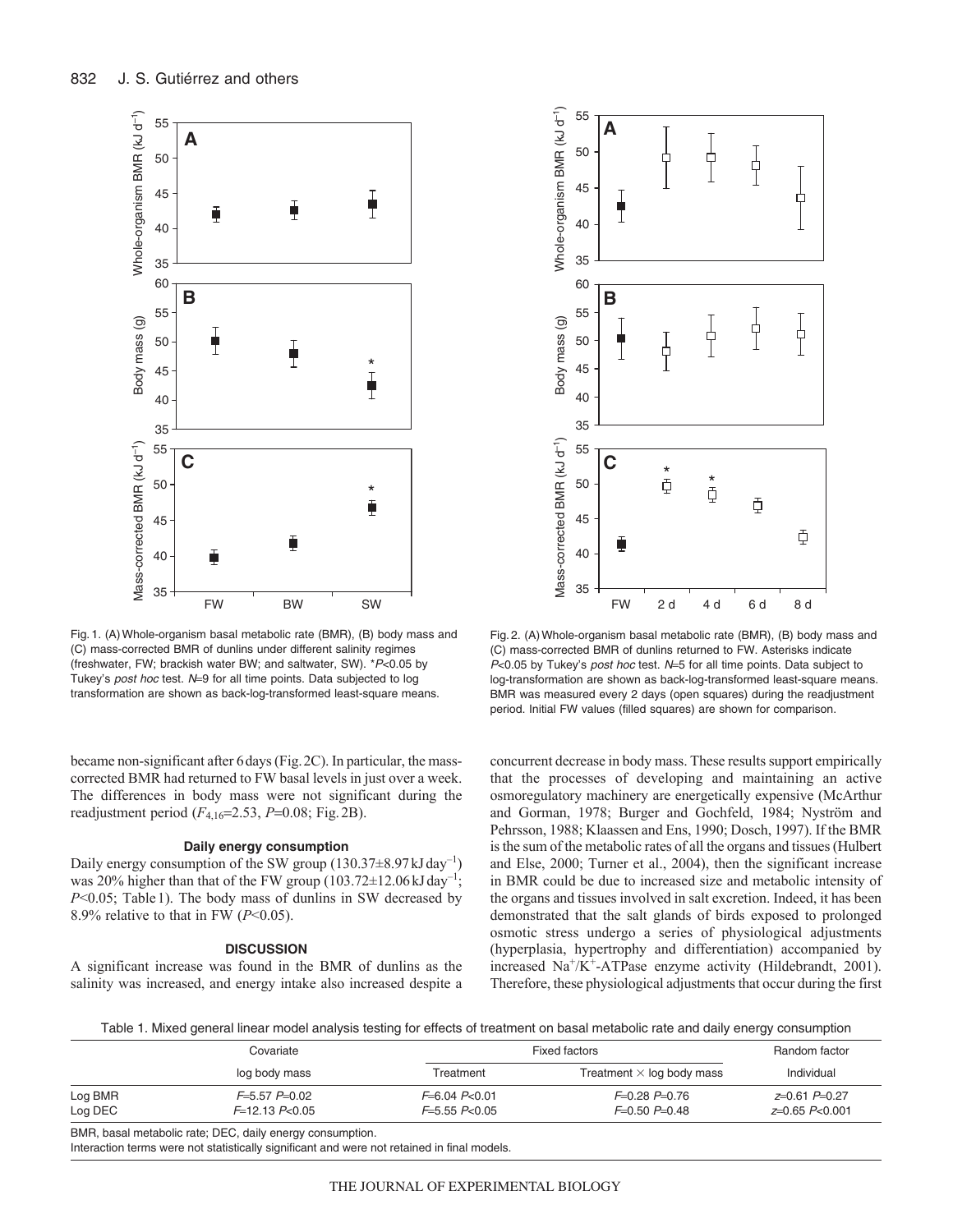

Fig. 1. (A)Whole-organism basal metabolic rate (BMR), (B) body mass and (C) mass-corrected BMR of dunlins under different salinity regimes (freshwater, FW; brackish water BW; and saltwater, SW). \*P<0.05 by Tukey's post hoc test.  $N=9$  for all time points. Data subjected to log transformation are shown as back-log-transformed least-square means.

became non-significant after 6days (Fig.2C). In particular, the masscorrected BMR had returned to FW basal levels in just over a week. The differences in body mass were not significant during the readjustment period  $(F_{4,16}=2.53, P=0.08; Fig. 2B)$ .

# **Daily energy consumption**

Daily energy consumption of the SW group (130.37±8.97kJday<sup>-1</sup>) was 20% higher than that of the FW group  $(103.72 \pm 12.06 \text{ kJ day}^{-1})$ ; *P*<0.05; Table 1). The body mass of dunlins in SW decreased by 8.9% relative to that in FW (*P*<0.05).

# **DISCUSSION**

A significant increase was found in the BMR of dunlins as the salinity was increased, and energy intake also increased despite a



Fig. 2. (A)Whole-organism basal metabolic rate (BMR), (B) body mass and (C) mass-corrected BMR of dunlins returned to FW. Asterisks indicate P<0.05 by Tukey's post hoc test. N=5 for all time points. Data subject to log-transformation are shown as back-log-transformed least-square means. BMR was measured every 2 days (open squares) during the readjustment period. Initial FW values (filled squares) are shown for comparison.

concurrent decrease in body mass. These results support empirically that the processes of developing and maintaining an active osmoregulatory machinery are energetically expensive (McArthur and Gorman, 1978; Burger and Gochfeld, 1984; Nyström and Pehrsson, 1988; Klaassen and Ens, 1990; Dosch, 1997). If the BMR is the sum of the metabolic rates of all the organs and tissues (Hulbert and Else, 2000; Turner et al., 2004), then the significant increase in BMR could be due to increased size and metabolic intensity of the organs and tissues involved in salt excretion. Indeed, it has been demonstrated that the salt glands of birds exposed to prolonged osmotic stress undergo a series of physiological adjustments (hyperplasia, hypertrophy and differentiation) accompanied by increased Na<sup>+</sup>/K<sup>+</sup>-ATPase enzyme activity (Hildebrandt, 2001). Therefore, these physiological adjustments that occur during the first

Table 1. Mixed general linear model analysis testing for effects of treatment on basal metabolic rate and daily energy consumption

|         | Covariate         |                         | Fixed factors                    |                    |  |
|---------|-------------------|-------------------------|----------------------------------|--------------------|--|
|         | log body mass     | Treatment               | Treatment $\times$ log body mass | Individual         |  |
| Log BMR | $F=5.57 P=0.02$   | $F=6.04 \text{ }P<0.01$ | $F=0.28$ $P=0.76$                | $z=0.61$ P=0.27    |  |
| Log DEC | $F=12.13 P< 0.05$ | $F=5.55 P<0.05$         | $F=0.50 P=0.48$                  | $z=0.65$ $P<0.001$ |  |
|         |                   |                         |                                  |                    |  |

BMR, basal metabolic rate; DEC, daily energy consumption.

Interaction terms were not statistically significant and were not retained in final models.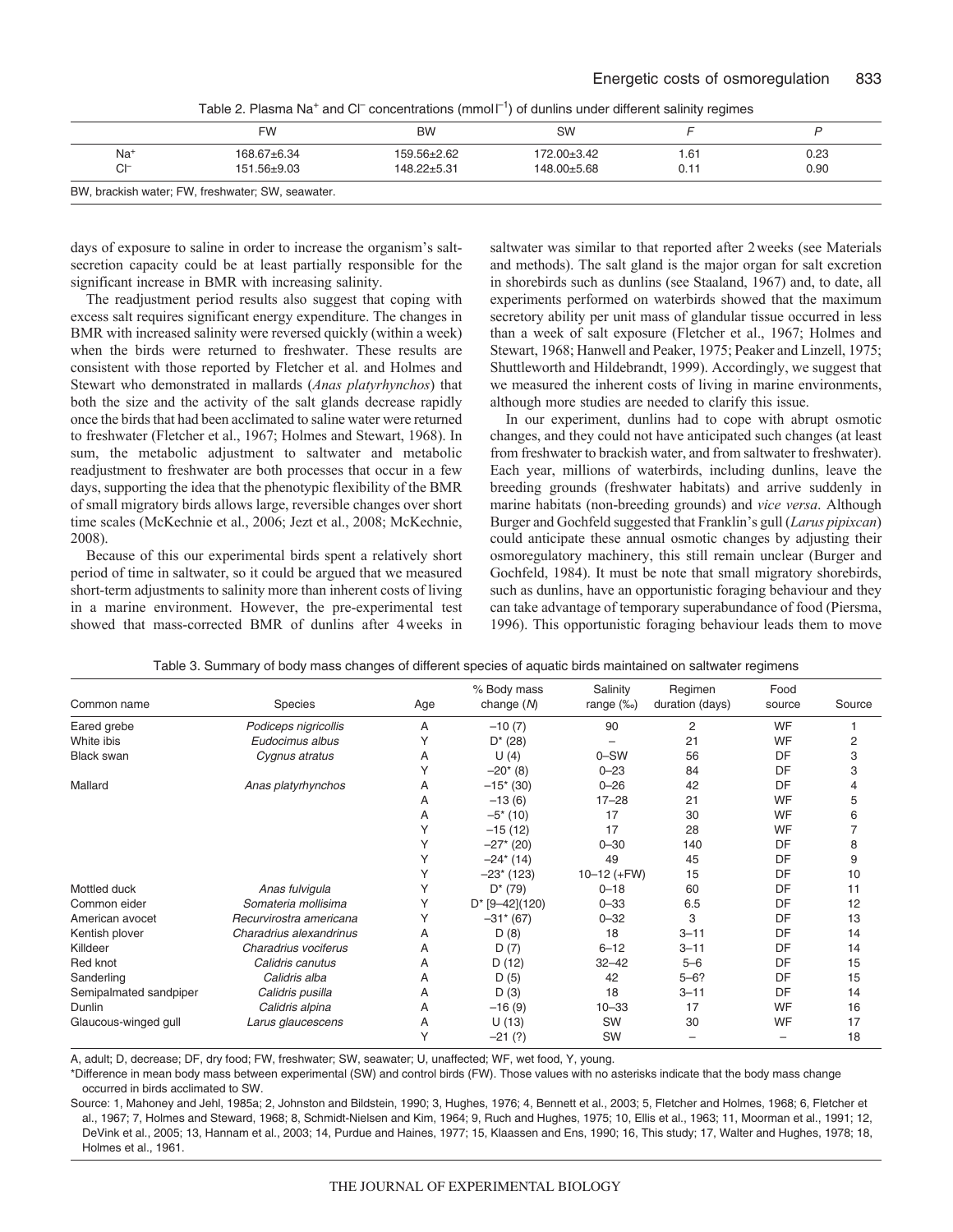|                 | <b>FW</b>         | <b>BW</b>         | SW                |      |      |
|-----------------|-------------------|-------------------|-------------------|------|------|
| Na <sup>+</sup> | 168.67±6.34       | $159.56 \pm 2.62$ | $172.00 \pm 3.42$ | 61.، | 0.23 |
| CI-             | $151.56 \pm 9.03$ | $148.22 + 5.31$   | 148.00±5.68       | 0.11 | 0.90 |

days of exposure to saline in order to increase the organism's saltsecretion capacity could be at least partially responsible for the significant increase in BMR with increasing salinity.

The readjustment period results also suggest that coping with excess salt requires significant energy expenditure. The changes in BMR with increased salinity were reversed quickly (within a week) when the birds were returned to freshwater. These results are consistent with those reported by Fletcher et al. and Holmes and Stewart who demonstrated in mallards (*Anas platyrhynchos*) that both the size and the activity of the salt glands decrease rapidly once the birds that had been acclimated to saline water were returned to freshwater (Fletcher et al., 1967; Holmes and Stewart, 1968). In sum, the metabolic adjustment to saltwater and metabolic readjustment to freshwater are both processes that occur in a few days, supporting the idea that the phenotypic flexibility of the BMR of small migratory birds allows large, reversible changes over short time scales (McKechnie et al., 2006; Jezt et al., 2008; McKechnie, 2008).

Because of this our experimental birds spent a relatively short period of time in saltwater, so it could be argued that we measured short-term adjustments to salinity more than inherent costs of living in a marine environment. However, the pre-experimental test showed that mass-corrected BMR of dunlins after 4weeks in saltwater was similar to that reported after 2weeks (see Materials and methods). The salt gland is the major organ for salt excretion in shorebirds such as dunlins (see Staaland, 1967) and, to date, all experiments performed on waterbirds showed that the maximum secretory ability per unit mass of glandular tissue occurred in less than a week of salt exposure (Fletcher et al., 1967; Holmes and Stewart, 1968; Hanwell and Peaker, 1975; Peaker and Linzell, 1975; Shuttleworth and Hildebrandt, 1999). Accordingly, we suggest that we measured the inherent costs of living in marine environments, although more studies are needed to clarify this issue.

In our experiment, dunlins had to cope with abrupt osmotic changes, and they could not have anticipated such changes (at least from freshwater to brackish water, and from saltwater to freshwater). Each year, millions of waterbirds, including dunlins, leave the breeding grounds (freshwater habitats) and arrive suddenly in marine habitats (non-breeding grounds) and *vice versa*. Although Burger and Gochfeld suggested that Franklin's gull (*Larus pipixcan*) could anticipate these annual osmotic changes by adjusting their osmoregulatory machinery, this still remain unclear (Burger and Gochfeld, 1984). It must be note that small migratory shorebirds, such as dunlins, have an opportunistic foraging behaviour and they can take advantage of temporary superabundance of food (Piersma, 1996). This opportunistic foraging behaviour leads them to move

| Common name            | Species                 | Age | % Body mass<br>change $(N)$ | Salinity<br>range (%%) | Regimen<br>duration (days) | Food<br>source           | Source |
|------------------------|-------------------------|-----|-----------------------------|------------------------|----------------------------|--------------------------|--------|
| Eared grebe            | Podiceps nigricollis    | A   | $-10(7)$                    | 90                     | $\overline{2}$             | <b>WF</b>                |        |
| White ibis             | Eudocimus albus         |     | $D^*$ (28)                  |                        | 21                         | WF                       | 2      |
| <b>Black swan</b>      | Cygnus atratus          | A   | U(4)                        | $0 - SW$               | 56                         | DF                       | 3      |
|                        |                         |     |                             | $0 - 23$               | 84                         | DF                       | 3      |
|                        |                         |     | $-20*(8)$                   |                        |                            | DF                       |        |
| Mallard                | Anas platyrhynchos      | A   | $-15*(30)$                  | $0 - 26$               | 42                         |                          | 4      |
|                        |                         | A   | $-13(6)$                    | $17 - 28$              | 21                         | WF                       | 5      |
|                        |                         | A   | $-5$ <sup>*</sup> (10)      | 17                     | 30                         | WF                       | 6      |
|                        |                         |     | $-15(12)$                   | 17                     | 28                         | WF                       |        |
|                        |                         |     | $-27*(20)$                  | $0 - 30$               | 140                        | DF                       | 8      |
|                        |                         |     | $-24*(14)$                  | 49                     | 45                         | DF                       | 9      |
|                        |                         |     | $-23*(123)$                 | $10-12$ (+FW)          | 15                         | DF                       | 10     |
| Mottled duck           | Anas fulvigula          |     | $D^*$ (79)                  | $0 - 18$               | 60                         | DF                       | 11     |
| Common eider           | Somateria mollisima     |     | $D^*[9-42](120)$            | $0 - 33$               | 6.5                        | DF                       | 12     |
| American avocet        | Recurvirostra americana | v   | $-31*(67)$                  | $0 - 32$               | 3                          | DF                       | 13     |
| Kentish plover         | Charadrius alexandrinus | A   | D(8)                        | 18                     | $3 - 11$                   | DF                       | 14     |
| Killdeer               | Charadrius vociferus    | A   | D(7)                        | $6 - 12$               | $3 - 11$                   | DF                       | 14     |
| Red knot               | Calidris canutus        | A   | D(12)                       | $32 - 42$              | $5 - 6$                    | DF                       | 15     |
| Sanderling             | Calidris alba           | A   | D(5)                        | 42                     | $5 - 6?$                   | DF                       | 15     |
| Semipalmated sandpiper | Calidris pusilla        | A   | D(3)                        | 18                     | $3 - 11$                   | DF                       | 14     |
| Dunlin                 | Calidris alpina         | Α   | $-16(9)$                    | $10 - 33$              | 17                         | WF                       | 16     |
| Glaucous-winged gull   | Larus glaucescens       | A   | U(13)                       | SW                     | 30                         | WF                       | 17     |
|                        |                         | Υ   | $-21(?)$                    | SW                     | $\qquad \qquad$            | $\overline{\phantom{0}}$ | 18     |

Table 3. Summary of body mass changes of different species of aquatic birds maintained on saltwater regimens

A, adult; D, decrease; DF, dry food; FW, freshwater; SW, seawater; U, unaffected; WF, wet food, Y, young.

\*Difference in mean body mass between experimental (SW) and control birds (FW). Those values with no asterisks indicate that the body mass change occurred in birds acclimated to SW.

Source: 1, Mahoney and Jehl, 1985a; 2, Johnston and Bildstein, 1990; 3, Hughes, 1976; 4, Bennett et al., 2003; 5, Fletcher and Holmes, 1968; 6, Fletcher et al., 1967; 7, Holmes and Steward, 1968; 8, Schmidt-Nielsen and Kim, 1964; 9, Ruch and Hughes, 1975; 10, Ellis et al., 1963; 11, Moorman et al., 1991; 12, DeVink et al., 2005; 13, Hannam et al., 2003; 14, Purdue and Haines, 1977; 15, Klaassen and Ens, 1990; 16, This study; 17, Walter and Hughes, 1978; 18, Holmes et al., 1961.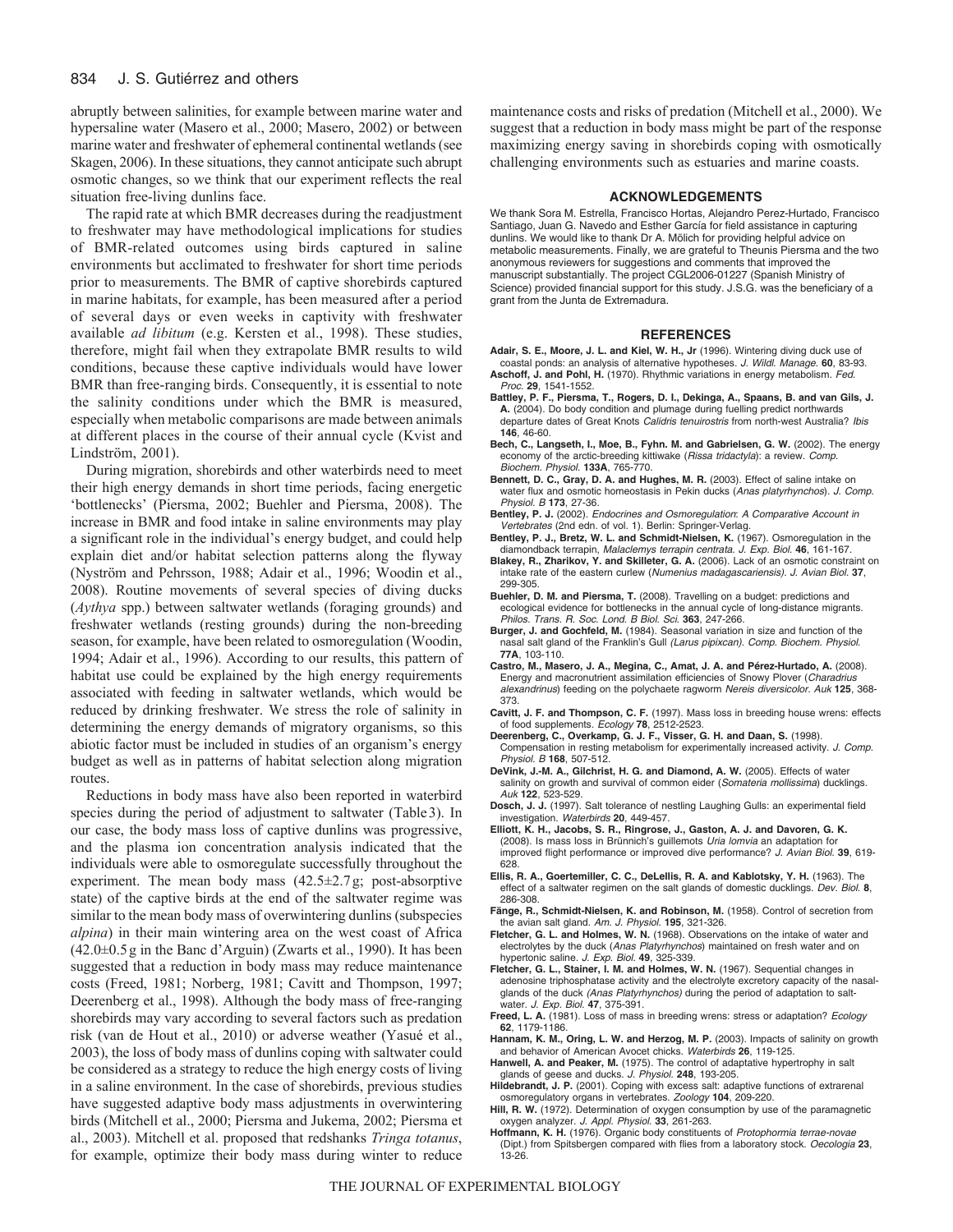abruptly between salinities, for example between marine water and hypersaline water (Masero et al., 2000; Masero, 2002) or between marine water and freshwater of ephemeral continental wetlands (see Skagen, 2006). In these situations, they cannot anticipate such abrupt osmotic changes, so we think that our experiment reflects the real situation free-living dunlins face.

The rapid rate at which BMR decreases during the readjustment to freshwater may have methodological implications for studies of BMR-related outcomes using birds captured in saline environments but acclimated to freshwater for short time periods prior to measurements. The BMR of captive shorebirds captured in marine habitats, for example, has been measured after a period of several days or even weeks in captivity with freshwater available *ad libitum* (e.g. Kersten et al., 1998). These studies, therefore, might fail when they extrapolate BMR results to wild conditions, because these captive individuals would have lower BMR than free-ranging birds. Consequently, it is essential to note the salinity conditions under which the BMR is measured, especially when metabolic comparisons are made between animals at different places in the course of their annual cycle (Kvist and Lindström, 2001).

During migration, shorebirds and other waterbirds need to meet their high energy demands in short time periods, facing energetic 'bottlenecks' (Piersma, 2002; Buehler and Piersma, 2008). The increase in BMR and food intake in saline environments may play a significant role in the individual's energy budget, and could help explain diet and/or habitat selection patterns along the flyway (Nyström and Pehrsson, 1988; Adair et al., 1996; Woodin et al., 2008). Routine movements of several species of diving ducks (*Aythya* spp.) between saltwater wetlands (foraging grounds) and freshwater wetlands (resting grounds) during the non-breeding season, for example, have been related to osmoregulation (Woodin, 1994; Adair et al., 1996). According to our results, this pattern of habitat use could be explained by the high energy requirements associated with feeding in saltwater wetlands, which would be reduced by drinking freshwater. We stress the role of salinity in determining the energy demands of migratory organisms, so this abiotic factor must be included in studies of an organism's energy budget as well as in patterns of habitat selection along migration routes.

Reductions in body mass have also been reported in waterbird species during the period of adjustment to saltwater (Table3). In our case, the body mass loss of captive dunlins was progressive, and the plasma ion concentration analysis indicated that the individuals were able to osmoregulate successfully throughout the experiment. The mean body mass (42.5±2.7g; post-absorptive state) of the captive birds at the end of the saltwater regime was similar to the mean body mass of overwintering dunlins (subspecies *alpina*) in their main wintering area on the west coast of Africa (42.0±0.5g in the Banc d'Arguin) (Zwarts et al., 1990). It has been suggested that a reduction in body mass may reduce maintenance costs (Freed, 1981; Norberg, 1981; Cavitt and Thompson, 1997; Deerenberg et al., 1998). Although the body mass of free-ranging shorebirds may vary according to several factors such as predation risk (van de Hout et al., 2010) or adverse weather (Yasué et al., 2003), the loss of body mass of dunlins coping with saltwater could be considered as a strategy to reduce the high energy costs of living in a saline environment. In the case of shorebirds, previous studies have suggested adaptive body mass adjustments in overwintering birds (Mitchell et al., 2000; Piersma and Jukema, 2002; Piersma et al., 2003). Mitchell et al. proposed that redshanks *Tringa totanus*, for example, optimize their body mass during winter to reduce maintenance costs and risks of predation (Mitchell et al., 2000). We suggest that a reduction in body mass might be part of the response maximizing energy saving in shorebirds coping with osmotically challenging environments such as estuaries and marine coasts.

#### **ACKNOWLEDGEMENTS**

We thank Sora M. Estrella, Francisco Hortas, Alejandro Perez-Hurtado, Francisco Santiago, Juan G. Navedo and Esther García for field assistance in capturing dunlins. We would like to thank Dr A. Mölich for providing helpful advice on metabolic measurements. Finally, we are grateful to Theunis Piersma and the two anonymous reviewers for suggestions and comments that improved the manuscript substantially. The project CGL2006-01227 (Spanish Ministry of Science) provided financial support for this study. J.S.G. was the beneficiary of a grant from the Junta de Extremadura.

#### **REFERENCES**

- **Adair, S. E., Moore, J. L. and Kiel, W. H., Jr** (1996). Wintering diving duck use of coastal ponds: an analysis of alternative hypotheses. J. Wildl. Manage. **60**, 83-93. **Aschoff, J. and Pohl, H.** (1970). Rhythmic variations in energy metabolism. Fed. Proc. **29**, 1541-1552.
- **Battley, P. F., Piersma, T., Rogers, D. I., Dekinga, A., Spaans, B. and van Gils, J. A.** (2004). Do body condition and plumage during fuelling predict northwards departure dates of Great Knots Calidris tenuirostris from north-west Australia? Ibis **146**, 46-60.
- **Bech, C., Langseth, I., Moe, B., Fyhn. M. and Gabrielsen, G. W.** (2002). The energy economy of the arctic-breeding kittiwake (Rissa tridactyla): a review. Comp. Biochem. Physiol. **133A**, 765-770.
- **Bennett, D. C., Gray, D. A. and Hughes, M. R.** (2003). Effect of saline intake on water flux and osmotic homeostasis in Pekin ducks (Anas platyrhynchos). J. Comp. Physiol. B **173**, 27-36.
- **Bentley, P. J.** (2002). Endocrines and Osmoregulation: A Comparative Account in Vertebrates (2nd edn. of vol. 1). Berlin: Springer-Verlag.
- **Bentley, P. J., Bretz, W. L. and Schmidt-Nielsen, K.** (1967). Osmoregulation in the diamondback terrapin, Malaclemys terrapin centrata. J. Exp. Biol. **46**, 161-167.
- **Blakey, R., Zharikov, Y. and Skilleter, G. A.** (2006). Lack of an osmotic constraint on intake rate of the eastern curlew (Numenius madagascariensis). J. Avian Biol. **37**, 299-305.
- **Buehler, D. M. and Piersma, T.** (2008). Travelling on a budget: predictions and ecological evidence for bottlenecks in the annual cycle of long-distance migrants. Philos. Trans. R. Soc. Lond. B Biol. Sci. **363**, 247-266.
- **Burger, J. and Gochfeld, M.** (1984). Seasonal variation in size and function of the nasal salt gland of the Franklin's Gull (Larus pipixcan). Comp. Biochem. Physiol. **77A**, 103-110.
- **Castro, M., Masero, J. A., Megina, C., Amat, J. A. and Pérez-Hurtado, A.** (2008). Energy and macronutrient assimilation efficiencies of Snowy Plover (Charadrius alexandrinus) feeding on the polychaete ragworm Nereis diversicolor. Auk **125**, 368- 373.
- **Cavitt, J. F. and Thompson, C. F.** (1997). Mass loss in breeding house wrens: effects of food supplements. Ecology **78**, 2512-2523.
- **Deerenberg, C., Overkamp, G. J. F., Visser, G. H. and Daan, S.** (1998).
- Compensation in resting metabolism for experimentally increased activity. J. Comp. Physiol. B **168**, 507-512.
- **DeVink, J.-M. A., Gilchrist, H. G. and Diamond, A. W.** (2005). Effects of water salinity on growth and survival of common eider (Somateria mollissima) ducklings. Auk **122**, 523-529.
- **Dosch, J. J.** (1997). Salt tolerance of nestling Laughing Gulls: an experimental field investigation. Waterbirds **20**, 449-457.
- **Elliott, K. H., Jacobs, S. R., Ringrose, J., Gaston, A. J. and Davoren, G. K.** (2008). Is mass loss in Brünnich's guillemots Uria lomvia an adaptation for improved flight performance or improved dive performance? J. Avian Biol. **39**, 619- 628.
- **Ellis, R. A., Goertemiller, C. C., DeLellis, R. A. and Kablotsky, Y. H.** (1963). The effect of a saltwater regimen on the salt glands of domestic ducklings. Dev. Biol. **8**, 286-308.
- **Fänge, R., Schmidt-Nielsen, K. and Robinson, M.** (1958). Control of secretion from the avian salt gland. Am. J. Physiol. **195**, 321-326.
- **Fletcher, G. L. and Holmes, W. N.** (1968). Observations on the intake of water and electrolytes by the duck (Anas Platyrhynchos) maintained on fresh water and on hypertonic saline. J. Exp. Biol. **49**, 325-339.
- **Fletcher, G. L., Stainer, I. M. and Holmes, W. N.** (1967). Sequential changes in adenosine triphosphatase activity and the electrolyte excretory capacity of the nasalglands of the duck (Anas Platyrhynchos) during the period of adaptation to saltwater. J. Exp. Biol. **47**, 375-391.
- Freed, L. A. (1981). Loss of mass in breeding wrens: stress or adaptation? Ecology **62**, 1179-1186.
- **Hannam, K. M., Oring, L. W. and Herzog, M. P.** (2003). Impacts of salinity on growth and behavior of American Avocet chicks. Waterbirds **26**, 119-125.
- **Hanwell, A. and Peaker, M.** (1975). The control of adaptative hypertrophy in salt glands of geese and ducks. J. Physiol. **248**, 193-205.
- **Hildebrandt, J. P.** (2001). Coping with excess salt: adaptive functions of extrarenal osmoregulatory organs in vertebrates. Zoology **104**, 209-220.
- **Hill, R. W.** (1972). Determination of oxygen consumption by use of the paramagnetic oxygen analyzer. J. Appl. Physiol. **33**, 261-263.
- **Hoffmann, K. H.** (1976). Organic body constituents of Protophormia terrae-novae (Dipt.) from Spitsbergen compared with flies from a laboratory stock. Oecologia **23**, 13-26.